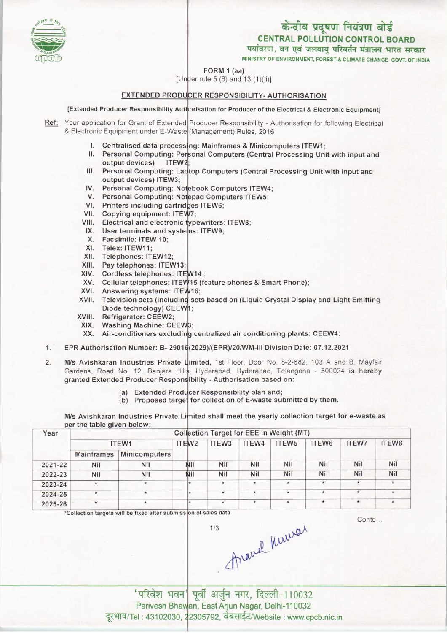केन्द्रीय प्रदूषण नियंत्रण बोर्ड

**CENTRAL POLLUTION CONTROL BOARD** पर्यावरण, वन एवं जलवायु परिवर्तन मंत्रालय भारत सरकार

MINISTRY OF ENVIRONMENT, FOREST & CLIMATE CHANGE GOVT. OF INDIA

### FORM 1 (aa)

[Under rule 5 (6) and 13 (1)(ii)]

### EXTENDED PRODUCER RESPONSIBILITY- AUTHORISATION

[Extended Producer Responsibility Authorisation for Producer of the Electrical & Electronic Equipment]

Ref: Your application for Grant of Extended Producer Responsibility - Authorisation for following Electrical & Electronic Equipment under E-Waste (Management) Rules, 2016

- I. Centralised data processing: Mainframes & Minicomputers ITEW1:
- II. Personal Computing: Personal Computers (Central Processing Unit with input and output devices) ITFW<sub>2</sub>
- III. Personal Computing: Laptop Computers (Central Processing Unit with input and output devices) ITEW3:
- IV. Personal Computing: Notebook Computers ITEW4;
- V. Personal Computing: Notepad Computers ITEW5;
- VI. Printers including cartridges ITEW6;
- VII. Copying equipment: ITEW7:
- VIII. Electrical and electronic typewriters: ITEW8;
- IX. User terminals and systems: ITEW9;
- X. Facsimile: ITEW 10;
- XI. Telex: ITEW11;
- XII. Telephones: ITEW12;
- XIII. Pay telephones: ITEW13;
- XIV. Cordless telephones: ITEW14;
- XV. Cellular telephones: ITEW15 (feature phones & Smart Phone);
- XVI. Answering systems: ITEW16;
- XVII. Television sets (including sets based on (Liquid Crystal Display and Light Emitting Diode technology) CEEW1;
- XVIII. Refrigerator: CEEW2;
- XIX. Washing Machine: CEEW3;
- XX. Air-conditioners excluding centralized air conditioning plants: CEEW4:
- EPR Authorisation Number: B- 29016(2029)/(EPR)/20/WM-III Division Date: 07.12.2021  $1.$
- $2.$ M/s Avishkaran Industries Private Limited, 1st Floor, Door No. 8-2-682, 103 A and B, Mayfair Gardens, Road No. 12, Banjara Hills, Hyderabad, Hyderabad, Telangana - 500034 is hereby granted Extended Producer Responsibility - Authorisation based on:
	- (a) Extended Producer Responsibility plan and;
	- (b) Proposed target for collection of E-waste submitted by them.

M/s Avishkaran Industries Private Limited shall meet the yearly collection target for e-waste as per the table given below:

| Year    | Collection Target for EEE in Weight (MT) |               |                   |                   |          |                   |         |              |       |  |  |
|---------|------------------------------------------|---------------|-------------------|-------------------|----------|-------------------|---------|--------------|-------|--|--|
|         | ITEW1                                    |               | ITEW <sub>2</sub> | ITEW <sub>3</sub> | ITEW4    | ITEW <sub>5</sub> | ITEW6   | <b>ITEW7</b> | ITEW8 |  |  |
|         | <b>Mainframes</b>                        | Minicomputers |                   |                   |          |                   |         |              |       |  |  |
| 2021-22 | Nil                                      | Nil           | Nil               | Nil               | Nil      | Nil               | Nil     | <b>Nil</b>   | Nil   |  |  |
| 2022-23 | Nil                                      | Nil           | Nil               | Nil               | Nil      | Nil               | Nil     | Nil          | Nil   |  |  |
| 2023-24 | $\star$                                  | ×.            |                   |                   | $^\star$ | ×                 | $\star$ | $\star$      |       |  |  |
| 2024-25 | $\star$                                  | $^{\star}$    |                   | $\star$           | $\star$  | $\star$           | $\star$ | $\pmb{\ast}$ |       |  |  |
| 2025-26 | $\star$                                  |               |                   | $\star$           | $\star$  | $\star$           | $\star$ | $\star$      |       |  |  |

 $1/3$ 

\*Collection targets will be fixed after submission of sales data

Contd...

Aravel Kurvar

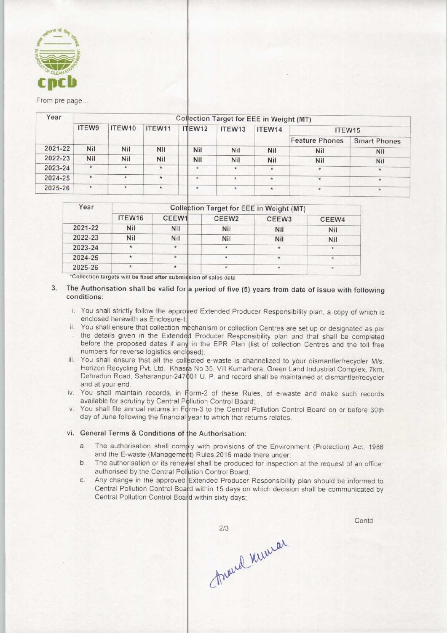

#### From pre page...

| Year        | Collection Target for EEE in Weight (MT) |         |         |         |         |            |                       |                     |  |  |  |
|-------------|------------------------------------------|---------|---------|---------|---------|------------|-----------------------|---------------------|--|--|--|
|             | ITEW9                                    | ITEW10  | ITEW11  | ITEW12  | ITEW13  | ITEW14     | ITEW15                |                     |  |  |  |
|             |                                          |         |         |         |         |            | <b>Feature Phones</b> | <b>Smart Phones</b> |  |  |  |
| $2021 - 22$ | Nil                                      | Nil     | Nil     | Nil     | Nil     | Nil        | Nil                   | <b>Nil</b>          |  |  |  |
| 2022-23     | Nil                                      | Nil     | Nil     | Nil     | Nil     | <b>Nil</b> | Nil                   | Nil                 |  |  |  |
| 2023-24     | *                                        |         |         | $*$     | $\star$ | ÷          | 法                     | $\star$             |  |  |  |
| 2024-25     | $\star$                                  |         | $\star$ | $\star$ | $\star$ |            |                       |                     |  |  |  |
| 2025-26     | $\star$                                  | $\star$ | $\star$ | $\star$ | $\star$ | $\star$    | 米                     |                     |  |  |  |

| Year    | Collection Target for EEE in Weight (MT) |            |                   |                   |                    |  |  |  |
|---------|------------------------------------------|------------|-------------------|-------------------|--------------------|--|--|--|
|         | ITEW16                                   | CEEW1      | CEEW <sub>2</sub> | CEEW <sub>3</sub> | CEEW4              |  |  |  |
| 2021-22 | <b>Nil</b>                               | <b>Nil</b> | Nil               | Nil               | Nil                |  |  |  |
| 2022-23 | <b>Nil</b>                               | <b>Nil</b> | Nil               | <b>Nil</b>        | <b>Nil</b>         |  |  |  |
| 2023-24 | $\star$                                  | 案          | *                 | $\star$           | $\mathcal{U}$      |  |  |  |
| 2024-25 | $\star$                                  |            |                   |                   | $\star$            |  |  |  |
| 2025-26 |                                          |            | $\star$           |                   | $\hat{\mathbf{x}}$ |  |  |  |

'Collection targets will be fixed after submission of sales data

- The Authorisation shall be valid for a period of five (5) years from date of issue with following conditions:
	- i. You shall strictly follow the approved Extended Producer Responsibility plan, a copy of which is enclosed herewith as Enclosure-I:
	- ii. You shall ensure that collection mechanism or collection Centres are set up or designated as per the details given in the Extended Producer Responsibility plan and that shall be completed before the proposed dates if any in the EPR Plan (list of collection Centres and the toll free numbers for reverse logistics enclosed)
	- iii. You shall ensure that all the collected e-waste is channelized to your dismantler/recycler M/s. Horizon Recycling Pvt. Ltd. Khasra No 35, Vill Kumarhera, Green Land Industrial Complex, 7km Dehradun Road, Saharanpur-247001 U. P. and record shall be maintained at dismantler/recycler and at your end.
	- iv. You shall maintain records, in Form-2 of these Rules, of e-waste and make such records available for scrutiny by Central Pollution Control Board;
	- v. You shall file annual returns in Form-3 to the Central Pollution Control Board on or before 30th day of June following the financial year to which that returns relates.

# vi. General Terms & Conditions of the Authorisation:

- General Terms & Conditions of the Authorisation:<br>a. The authorisation shall comply with provisions of the Environment (Protection) Act, 1986 and the E-waste (Management) Rules, 2016 made there under
- and the E-waste (Management) Rules, 2016 made there under;<br>b. The authorisation or its renewal shall be produced for inspection at the request of an officer authorised by the Central Pollution Control Board
- authorised by the Central Pollution Control Board;<br>
c. Any change in the approved Extended Producer Responsibility plan should be informed to<br>
Control Pollution Control Board; Central Pollution Control Board within 15 days on which decision shall be communicated by Central Pollution Control Board within sixty days;

 $2/3$ through Kilwar

Contd